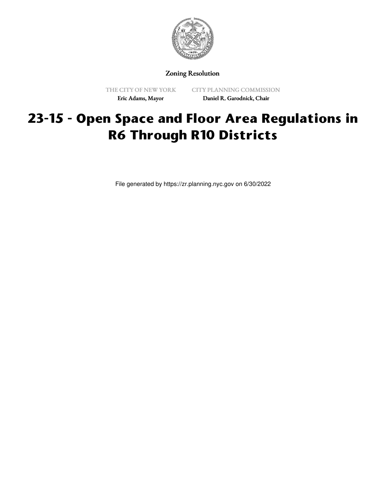

Zoning Resolution

THE CITY OF NEW YORK Eric Adams, Mayor

CITY PLANNING COMMISSION Daniel R. Garodnick, Chair

# **23-15 - Open Space and Floor Area Regulations in R6 Through R10 Districts**

File generated by https://zr.planning.nyc.gov on 6/30/2022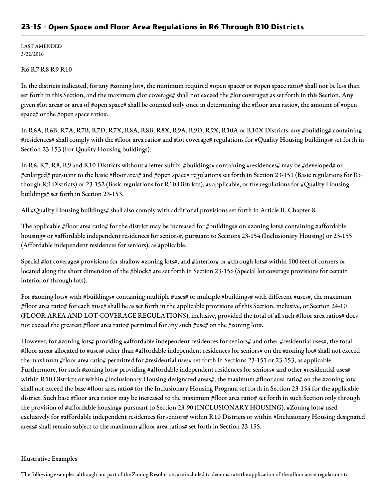# **23-15 - Open Space and Floor Area Regulations in R6 Through R10 Districts**

LAST AMENDED 3/22/2016

#### R6 R7 R8 R9 R10

In the districts indicated, for any #zoning lot#, the minimum required #open space# or #open space ratio# shall not be less than set forth in this Section, and the maximum #lot coverage# shall not exceed the #lot coverage# as set forth in this Section. Any given #lot area# or area of #open space# shall be counted only once in determining the #floor area ratio#, the amount of #open space# or the #open space ratio#.

In R6A, R6B, R7A, R7B, R7D, R7X, R8A, R8B, R8X, R9A, R9D, R9X, R10A or R10X Districts, any #building# containing #residences# shall comply with the #floor area ratio# and #lot coverage# regulations for #Quality Housing buildings# set forth in Section 23-153 (For Quality Housing buildings).

In R6, R7, R8, R9 and R10 Districts without a letter suffix, #buildings# containing #residences# may be #developed# or #enlarged# pursuant to the basic #floor area# and #open space# regulations set forth in Section 23-151 (Basic regulations for R6 though R9 Districts) or 23-152 (Basic regulations for R10 Districts), as applicable, or the regulations for #Quality Housing buildings# set forth in Section 23-153.

All #Quality Housing buildings# shall also comply with additional provisions set forth in Article II, Chapter 8.

The applicable #floor area ratio# for the district may be increased for #buildings# on #zoning lots# containing #affordable housing# or #affordable independent residences for seniors#, pursuant to Sections 23-154 (Inclusionary Housing) or 23-155 (Affordable independent residences for seniors), as applicable.

Special #lot coverage# provisions for shallow #zoning lots#, and #interior# or #through lots# within 100 feet of corners or located along the short dimension of the #block# are set forth in Section 23-156 (Special lot coverage provisions for certain interior or through lots).

For #zoning lots# with #buildings# containing multiple #uses# or multiple #buildings# with different #uses#, the maximum #floor area ratio# for each #use# shall be as set forth in the applicable provisions of this Section, inclusive, or Section 24-10 (FLOOR AREA AND LOT COVERAGE REGULATIONS), inclusive, provided the total of all such #floor area ratios# does not exceed the greatest #floor area ratio# permitted for any such #use# on the #zoning lot#.

However, for #zoning lots# providing #affordable independent residences for seniors# and other #residential uses#, the total #floor area# allocated to #uses# other than #affordable independent residences for seniors# on the #zoning lot# shall not exceed the maximum #floor area ratio# permitted for #residential uses# set forth in Sections 23-151 or 23-153, as applicable. Furthermore, for such #zoning lots# providing #affordable independent residences for seniors# and other #residential uses# within R10 Districts or within #Inclusionary Housing designated areas#, the maximum #floor area ratio# on the #zoning lot# shall not exceed the base #floor area ratio# for the Inclusionary Housing Program set forth in Section 23-154 for the applicable district. Such base #floor area ratio# may be increased to the maximum #floor area ratio# set forth in such Section only through the provision of #affordable housing# pursuant to Section 23-90 (INCLUSIONARY HOUSING). #Zoning lots# used exclusively for #affordable independent residences for seniors# within R10 Districts or within #Inclusionary Housing designated areas# shall remain subject to the maximum #floor area ratios# set forth in Section 23-155.

# Illustrative Examples

The following examples, although not part of the Zoning Resolution, are included to demonstrate the application of the #floor area# regulations to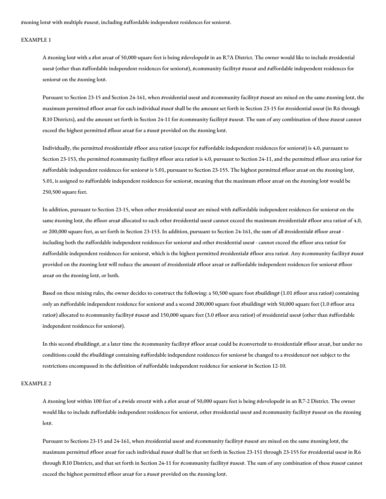#zoning lots# with multiple #uses#, including #affordable independent residences for seniors#.

#### EXAMPLE 1

A #zoning lot# with a #lot area# of 50,000 square feet is being #developed# in an R7A District. The owner would like to include #residential uses# (other than #affordable independent residences for seniors#), #community facility# #uses# and #affordable independent residences for seniors# on the #zoning lot#.

Pursuant to Section 23-15 and Section 24-161, when #residential uses# and #community facility# #uses# are mixed on the same #zoning lot#, the maximum permitted #floor area# for each individual #use# shall be the amount set forth in Section 23-15 for #residential uses# (in R6 through R10 Districts), and the amount set forth in Section 24-11 for #community facility# #uses#. The sum of any combination of these #uses# cannot exceed the highest permitted #floor area# for a #use# provided on the #zoning lot#.

Individually, the permitted #residential# #floor area ratio# (except for #affordable independent residences for seniors#) is 4.0, pursuant to Section 23-153, the permitted #community facility# #floor area ratio# is 4.0, pursuant to Section 24-11, and the permitted #floor area ratio# for #affordable independent residences for seniors# is 5.01, pursuant to Section 23-155. The highest permitted #floor area# on the #zoning lot#, 5.01, is assigned to #affordable independent residences for seniors#, meaning that the maximum #floor area# on the #zoning lot# would be 250,500 square feet.

In addition, pursuant to Section 23-15, when other #residential uses# are mixed with #affordable independent residences for seniors# on the same #zoning lot#, the #floor area# allocated to such other #residential uses# cannot exceed the maximum #residential# #floor area ratio# of 4.0, or 200,000 square feet, as set forth in Section 23-153. In addition, pursuant to Section 24-161, the sum of all #residential# #floor area# including both the #affordable independent residences for seniors# and other #residential uses# - cannot exceed the #floor area ratio# for #affordable independent residences for seniors#, which is the highest permitted #residential# #floor area ratio#. Any #community facility# #use# provided on the #zoning lot# will reduce the amount of #residential# #floor area# or #affordable independent residences for seniors# #floor area# on the #zoning lot#, or both.

Based on these mixing rules, the owner decides to construct the following: a 50,500 square foot #building# (1.01 #floor area ratio#) containing only an #affordable independent residence for seniors# and a second 200,000 square foot #building# with 50,000 square feet (1.0 #floor area ratio#) allocated to #community facility# #uses# and 150,000 square feet (3.0 #floor area ratio#) of #residential uses# (other than #affordable independent residences for seniors#).

In this second #building#, at a later time the #community facility# #floor area# could be #converted# to #residential# #floor area#, but under no conditions could the #building# containing #affordable independent residences for seniors# be changed to a #residence# not subject to the restrictions encompassed in the definition of #affordable independent residence for seniors# in Section 12-10.

#### EXAMPLE 2

A #zoning lot# within 100 feet of a #wide street# with a #lot area# of 50,000 square feet is being #developed# in an R7-2 District. The owner would like to include #affordable independent residences for seniors#, other #residential uses# and #community facility# #uses# on the #zoning lot#.

Pursuant to Sections 23-15 and 24-161, when #residential uses# and #community facility# #uses# are mixed on the same #zoning lot#, the maximum permitted #floor area# for each individual #use# shall be that set forth in Section 23-151 through 23-155 for #residential uses# in R6 through R10 Districts, and that set forth in Section 24-11 for #community facility# #uses#. The sum of any combination of these #uses# cannot exceed the highest permitted #floor area# for a #use# provided on the #zoning lot#.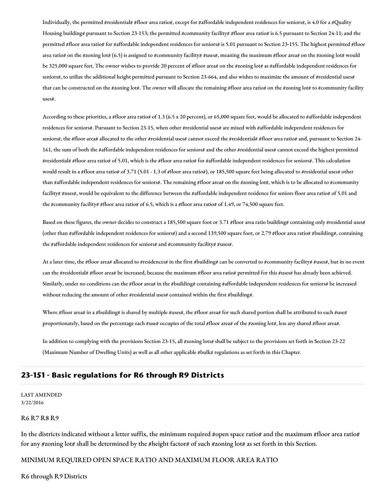Individually, the permitted #residential# #floor area ratio#, except for #affordable independent residences for seniors#, is 4.0 for a #Quality Housing building# pursuant to Section 23-153; the permitted #community facility# #floor area ratio# is 6.5 pursuant to Section 24-11; and the permitted #floor area ratio# for #affordable independent residences for seniors# is 5.01 pursuant to Section 23-155. The highest permitted #floor area ratio# on the #zoning lot# (6.5) is assigned to #community facility# #uses#, meaning the maximum #floor area# on the #zoning lot# would be 325,000 square feet. The owner wishes to provide 20 percent of #floor area# on the #zoning lot# as #affordable independent residences for seniors#, to utilize the additional height permitted pursuant to Section 23-664, and also wishes to maximize the amount of #residential uses# that can be constructed on the #zoning lot#. The owner will allocate the remaining #floor area ratio# on the #zoning lot# to #community facility uses#.

According to these priorities, a #floor area ratio# of 1.3 (6.5 x 20 percent), or 65,000 square feet, would be allocated to #affordable independent residences for seniors#. Pursuant to Section 23-15, when other #residential uses# are mixed with #affordable independent residences for seniors#, the #floor area# allocated to the other #residential uses# cannot exceed the #residential# #floor area ratio# and, pursuant to Section 24- 161, the sum of both the #affordable independent residences for seniors# and the other #residential uses# cannot exceed the highest permitted #residential# #floor area ratio# of 5.01, which is the #floor area ratio# for #affordable independent residences for seniors#. This calculation would result in a #floor area ratio# of 3.71 (5.01 - 1.3 of #floor area ratio#), or 185,500 square feet being allocated to #residential uses# other than #affordable independent residences for seniors#. The remaining #floor area# on the #zoning lot#, which is to be allocated to #community facility# #uses#, would be equivalent to the difference between the #affordable independent residence for seniors floor area ratio# of 5.01 and the #community facility# #floor area ratio# of 6.5, which is a #floor area ratio# of 1.49, or 74,500 square feet.

Based on these figures, the owner decides to construct a 185,500 square foot or 3.71 #floor area ratio building# containing only #residential uses# (other than #affordable independent residences for seniors#) and a second 139,500 square foot, or 2.79 #floor area ratio# #building#, containing the #affordable independent residences for seniors# and #community facility# #uses#.

At a later time, the #floor area# allocated to #residences# in the first #building# can be converted to #community facility# #uses#, but in no event can the #residential# #floor area# be increased, because the maximum #floor area ratio# permitted for this #uses# has already been achieved. Similarly, under no conditions can the #floor area# in the #building# containing #affordable independent residences for seniors# be increased without reducing the amount of other #residential uses# contained within the first #building#.

Where #floor area# in a #building# is shared by multiple #uses#, the #floor area# for such shared portion shall be attributed to each #use# proportionately, based on the percentage each #use# occupies of the total #floor area# of the #zoning lot#, less any shared #floor area#.

In addition to complying with the provisions Section 23-15, all #zoning lots# shall be subject to the provisions set forth in Section 23-22 (Maximum Number of Dwelling Units) as well as all other applicable #bulk# regulations as set forth in this Chapter.

# **23-151 - Basic regulations for R6 through R9 Districts**

LAST AMENDED 3/22/2016

#### R6 R7 R8 R9

In the districts indicated without a letter suffix, the minimum required #open space ratio# and the maximum #floor area ratio# for any #zoning lot# shall be determined by the #height factor# of such #zoning lot# as set forth in this Section.

#### MINIMUM REQUIRED OPEN SPACE RATIO AND MAXIMUM FLOOR AREA RATIO

R6 through R9 Districts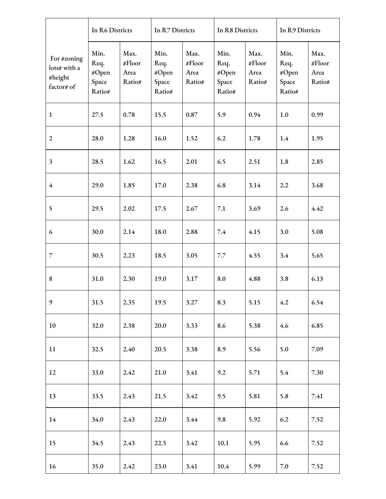|                                                      | In R6 Districts                          |                                  | In R7 Districts                          |                                  | In R8 Districts                          |                                  | In R9 Districts                          |                                  |
|------------------------------------------------------|------------------------------------------|----------------------------------|------------------------------------------|----------------------------------|------------------------------------------|----------------------------------|------------------------------------------|----------------------------------|
| For #zoning<br>lots# with a<br>#height<br>factor# of | Min.<br>Req.<br>#Open<br>Space<br>Ratio# | Max.<br>#Floor<br>Area<br>Ratio# | Min.<br>Req.<br>#Open<br>Space<br>Ratio# | Max.<br>#Floor<br>Area<br>Ratio# | Min.<br>Req.<br>#Open<br>Space<br>Ratio# | Max.<br>#Floor<br>Area<br>Ratio# | Min.<br>Req.<br>#Open<br>Space<br>Ratio# | Max.<br>#Floor<br>Area<br>Ratio# |
| $\mathbf{1}$                                         | 27.5                                     | 0.78                             | 15.5                                     | 0.87                             | 5.9                                      | 0.94                             | 1.0                                      | 0.99                             |
| $\overline{2}$                                       | 28.0                                     | 1.28                             | 16.0                                     | 1.52                             | 6.2                                      | 1.78                             | 1.4                                      | 1.95                             |
| $\mathfrak{Z}$                                       | 28.5                                     | 1.62                             | 16.5                                     | 2.01                             | 6.5                                      | 2.51                             | 1.8                                      | 2.85                             |
| $\overline{4}$                                       | 29.0                                     | 1.85                             | 17.0                                     | 2.38                             | 6.8                                      | 3.14                             | 2.2                                      | 3.68                             |
| 5                                                    | 29.5                                     | 2.02                             | 17.5                                     | 2.67                             | 7.1                                      | 3.69                             | 2.6                                      | 4.42                             |
| 6                                                    | 30.0                                     | 2.14                             | 18.0                                     | 2.88                             | 7.4                                      | 4.15                             | 3.0                                      | 5.08                             |
| $\overline{7}$                                       | 30.5                                     | 2.23                             | 18.5                                     | 3.05                             | 7.7                                      | 4.55                             | 3.4                                      | 5.65                             |
| 8                                                    | 31.0                                     | 2.30                             | 19.0                                     | 3.17                             | 8.0                                      | 4.88                             | 3.8                                      | 6.13                             |
| 9                                                    | 31.5                                     | 2.35                             | 19.5                                     | 3.27                             | 8.3                                      | 5.15                             | 4.2                                      | 6.54                             |
| 10                                                   | 32.0                                     | 2.38                             | 20.0                                     | 3.33                             | 8.6                                      | 5.38                             | 4.6                                      | 6.85                             |
| 11                                                   | 32.5                                     | 2.40                             | 20.5                                     | 3.38                             | 8.9                                      | 5.56                             | 5.0                                      | 7.09                             |
| 12                                                   | 33.0                                     | 2.42                             | 21.0                                     | 3.41                             | 9.2                                      | 5.71                             | 5.4                                      | 7.30                             |
| 13                                                   | 33.5                                     | 2.43                             | 21.5                                     | 3.42                             | 9.5                                      | 5.81                             | 5.8                                      | 7.41                             |
| 14                                                   | 34.0                                     | 2.43                             | 22.0                                     | 3.44                             | 9.8                                      | 5.92                             | 6.2                                      | 7.52                             |
| 15                                                   | 34.5                                     | 2.43                             | 22.5                                     | 3.42                             | 10.1                                     | 5.95                             | 6.6                                      | 7.52                             |
| 16                                                   | 35.0                                     | 2.42                             | 23.0                                     | 3.41                             | 10.4                                     | 5.99                             | $7.0\,$                                  | 7.52                             |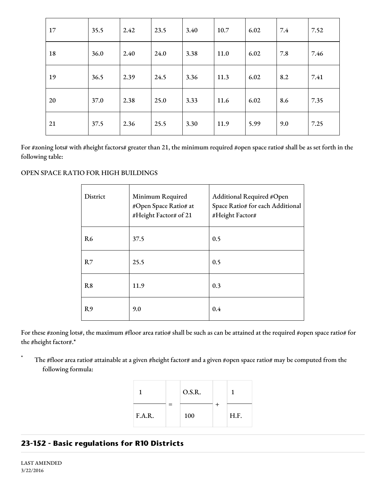| 17 | 35.5 | 2.42 | 23.5 | 3.40 | 10.7 | 6.02 | 7.4 | 7.52 |
|----|------|------|------|------|------|------|-----|------|
| 18 | 36.0 | 2.40 | 24.0 | 3.38 | 11.0 | 6.02 | 7.8 | 7.46 |
| 19 | 36.5 | 2.39 | 24.5 | 3.36 | 11.3 | 6.02 | 8.2 | 7.41 |
| 20 | 37.0 | 2.38 | 25.0 | 3.33 | 11.6 | 6.02 | 8.6 | 7.35 |
| 21 | 37.5 | 2.36 | 25.5 | 3.30 | 11.9 | 5.99 | 9.0 | 7.25 |

For #zoning lots# with #height factors# greater than 21, the minimum required #open space ratio# shall be as set forth in the following table:

# OPEN SPACE RATIO FOR HIGH BUILDINGS

| District       | Minimum Required<br>#Open Space Ratio# at<br>#Height Factor# of 21 | Additional Required #Open<br>Space Ratio# for each Additional<br>#Height Factor# |
|----------------|--------------------------------------------------------------------|----------------------------------------------------------------------------------|
| R <sub>6</sub> | 37.5                                                               | 0.5                                                                              |
| R7             | 25.5                                                               | 0.5                                                                              |
| R8             | 11.9                                                               | 0.3                                                                              |
| R <sub>9</sub> | 9.0                                                                | 0.4                                                                              |

For these #zoning lots#, the maximum #floor area ratio# shall be such as can be attained at the required #open space ratio# for the #height factor#.\*

The #floor area ratio# attainable at a given #height factor# and a given #open space ratio# may be computed from the following formula:

|        |   | O.S.R. |      |
|--------|---|--------|------|
| F.A.R. | = | 100    | H.F. |

# **23-152 - Basic regulations for R10 Districts**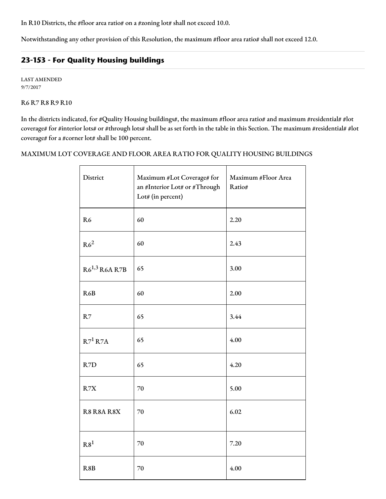In R10 Districts, the #floor area ratio# on a #zoning lot# shall not exceed 10.0.

Notwithstanding any other provision of this Resolution, the maximum #floor area ratio# shall not exceed 12.0.

# **23-153 - For Quality Housing buildings**

LAST AMENDED 9/7/2017

R6 R7 R8 R9 R10

In the districts indicated, for #Quality Housing buildings#, the maximum #floor area ratio# and maximum #residential# #lot coverage# for #interior lots# or #through lots# shall be as set forth in the table in this Section. The maximum #residential# #lot coverage# for a #corner lot# shall be 100 percent.

# MAXIMUM LOT COVERAGE AND FLOOR AREA RATIO FOR QUALITY HOUSING BUILDINGS

| District           | Maximum #Lot Coverage# for<br>an #Interior Lot# or #Through<br>Lot# (in percent) | Maximum #Floor Area<br>Ratio# |
|--------------------|----------------------------------------------------------------------------------|-------------------------------|
| R <sub>6</sub>     | 60                                                                               | 2.20                          |
| R6 <sup>2</sup>    | 60                                                                               | 2.43                          |
| $R6^{1,3}$ R6A R7B | 65                                                                               | 3.00                          |
| R6B                | 60                                                                               | 2.00                          |
| R7                 | 65                                                                               | 3.44                          |
| $R7^1 R7A$         | 65                                                                               | 4.00                          |
| R7D                | 65                                                                               | 4.20                          |
| R7X                | 70                                                                               | 5.00                          |
| R8 R8A R8X         | 70                                                                               | 6.02                          |
| R8 <sup>1</sup>    | 70                                                                               | 7.20                          |
| R8B                | 70                                                                               | 4.00                          |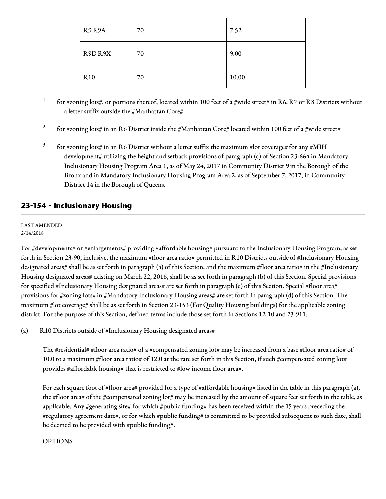| R <sub>9</sub> R <sub>9</sub> A | 70 | 7.52  |
|---------------------------------|----|-------|
| R9D R9X                         | 70 | 9.00  |
| <b>R10</b>                      | 70 | 10.00 |

1 for #zoning lots#, or portions thereof, located within 100 feet of a #wide street# in R6, R7 or R8 Districts without a letter suffix outside the #Manhattan Core#

- 2 for #zoning lots# in an R6 District inside the #Manhattan Core# located within 100 feet of a #wide street#
- 3 for #zoning lots# in an R6 District without a letter suffix the maximum #lot coverage# for any #MIH development# utilizing the height and setback provisions of paragraph (c) of Section 23-664 in Mandatory Inclusionary Housing Program Area 1, as of May 24, 2017 in Community District 9 in the Borough of the Bronx and in Mandatory Inclusionary Housing Program Area 2, as of September 7, 2017, in Community District 14 in the Borough of Queens.

# **23-154 - Inclusionary Housing**

#### LAST AMENDED 2/14/2018

For #developments# or #enlargements# providing #affordable housing# pursuant to the Inclusionary Housing Program, as set forth in Section 23-90, inclusive, the maximum #floor area ratio# permitted in R10 Districts outside of #Inclusionary Housing designated areas# shall be as set forth in paragraph (a) of this Section, and the maximum #floor area ratio# in the #Inclusionary Housing designated areas# existing on March 22, 2016, shall be as set forth in paragraph (b) of this Section. Special provisions for specified #Inclusionary Housing designated areas# are set forth in paragraph (c) of this Section. Special #floor area# provisions for #zoning lots# in #Mandatory Inclusionary Housing areas# are set forth in paragraph (d) of this Section. The maximum #lot coverage# shall be as set forth in Section 23-153 (For Quality Housing buildings) for the applicable zoning district. For the purpose of this Section, defined terms include those set forth in Sections 12-10 and 23-911.

(a) R10 Districts outside of #Inclusionary Housing designated areas#

The #residential# #floor area ratio# of a #compensated zoning lot# may be increased from a base #floor area ratio# of 10.0 to a maximum #floor area ratio# of 12.0 at the rate set forth in this Section, if such #compensated zoning lot# provides #affordable housing# that is restricted to #low income floor area#.

For each square foot of #floor area# provided for a type of #affordable housing# listed in the table in this paragraph (a), the #floor area# of the #compensated zoning lot# may be increased by the amount of square feet set forth in the table, as applicable. Any #generating site# for which #public funding# has been received within the 15 years preceding the #regulatory agreement date#, or for which #public funding# is committed to be provided subsequent to such date, shall be deemed to be provided with #public funding#.

# OPTIONS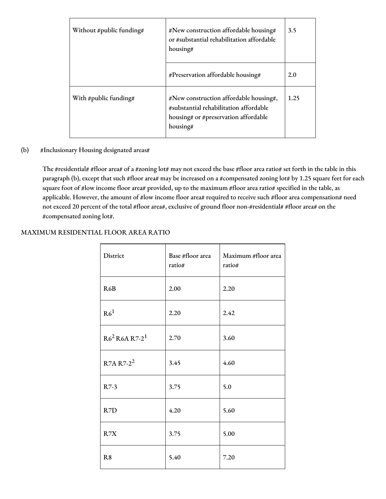| Without #public funding# | #New construction affordable housing#<br>or #substantial rehabilitation affordable<br>housing#                                       | 3.5  |
|--------------------------|--------------------------------------------------------------------------------------------------------------------------------------|------|
|                          | #Preservation affordable housing#                                                                                                    | 2.0  |
| With #public funding#    | #New construction affordable housing#,<br>#substantial rehabilitation affordable<br>housing# or #preservation affordable<br>housing# | 1.25 |

# (b) #Inclusionary Housing designated areas#

The #residential# #floor area# of a #zoning lot# may not exceed the base #floor area ratio# set forth in the table in this paragraph (b), except that such #floor area# may be increased on a #compensated zoning lot# by 1.25 square feet for each square foot of #low income floor area# provided, up to the maximum #floor area ratio# specified in the table, as applicable. However, the amount of #low income floor area# required to receive such #floor area compensation# need not exceed 20 percent of the total #floor area#, exclusive of ground floor non-#residential# #floor area# on the #compensated zoning lot#.

# MAXIMUM RESIDENTIAL FLOOR AREA RATIO

| District              | Base #floor area<br>ratio# | Maximum #floor area<br>ratio# |
|-----------------------|----------------------------|-------------------------------|
| R6B                   | 2.00                       | 2.20                          |
| R6 <sup>1</sup>       | 2.20                       | 2.42                          |
| $R62 R6A R7-21$       | 2.70                       | 3.60                          |
| R7A R7-2 <sup>2</sup> | 3.45                       | 4.60                          |
| $R7-3$                | 3.75                       | 5.0                           |
| R7D                   | 4.20                       | 5.60                          |
| R7X                   | 3.75                       | 5.00                          |
| R <sub>8</sub>        | 5.40                       | 7.20                          |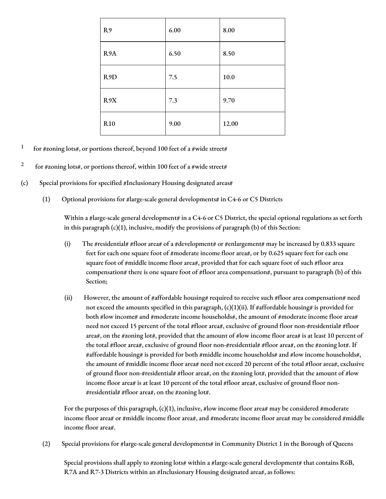| R9              | 6.00 | 8.00  |
|-----------------|------|-------|
| R9A             | 6.50 | 8.50  |
| R9D             | 7.5  | 10.0  |
| R9X             | 7.3  | 9.70  |
| R <sub>10</sub> | 9.00 | 12.00 |

- 1 for #zoning lots#, or portions thereof, beyond 100 feet of a #wide street#
- 2 for #zoning lots#, or portions thereof, within 100 feet of a #wide street#
- (c) Special provisions for specified #Inclusionary Housing designated areas#
	- (1) Optional provisions for #large-scale general developments# in C4-6 or C5 Districts

Within a #large-scale general development# in a C4-6 or C5 District, the special optional regulations as set forth in this paragraph  $(c)(1)$ , inclusive, modify the provisions of paragraph  $(b)$  of this Section:

- (i) The #residential# #floor area# of a #development# or #enlargement# may be increased by 0.833 square feet for each one square foot of #moderate income floor area#, or by 0.625 square feet for each one square foot of #middle income floor area#, provided that for each square foot of such #floor area compensation# there is one square foot of #floor area compensation#, pursuant to paragraph (b) of this Section;
- (ii) However, the amount of #affordable housing# required to receive such #floor area compensation# need not exceed the amounts specified in this paragraph,  $(c)(1)(ii)$ . If #affordable housing# is provided for both #low income# and #moderate income households#, the amount of #moderate income floor area# need not exceed 15 percent of the total #floor area#, exclusive of ground floor non-#residential# #floor area#, on the #zoning lot#, provided that the amount of #low income floor area# is at least 10 percent of the total #floor area#, exclusive of ground floor non-#residential# #floor area#, on the #zoning lot#. If #affordable housing# is provided for both #middle income households# and #low income households#, the amount of #middle income floor area# need not exceed 20 percent of the total #floor area#, exclusive of ground floor non-#residential# #floor area#, on the #zoning lot#, provided that the amount of #low income floor area# is at least 10 percent of the total #floor area#, exclusive of ground floor non- #residential# #floor area#, on the #zoning lot#.

For the purposes of this paragraph,  $(c)(1)$ , inclusive, #low income floor area# may be considered #moderate income floor area# or #middle income floor area#, and #moderate income floor area# may be considered #middle income floor area#.

(2) Special provisions for #large-scale general developments# in Community District 1 in the Borough of Queens

Special provisions shall apply to #zoning lots# within a #large-scale general development# that contains R6B, R7A and R7-3 Districts within an #Inclusionary Housing designated area#, as follows: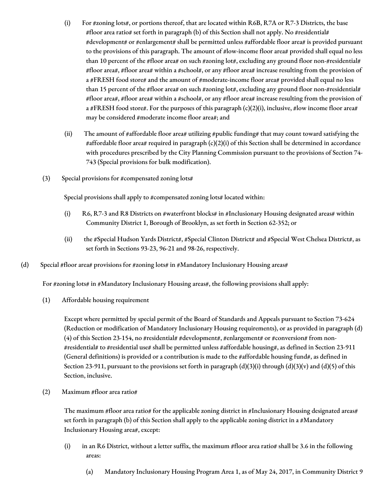- (i) For #zoning lots#, or portions thereof, that are located within R6B, R7A or R7-3 Districts, the base #floor area ratio# set forth in paragraph (b) of this Section shall not apply. No #residential# #development# or #enlargement# shall be permitted unless #affordable floor area# is provided pursuant to the provisions of this paragraph. The amount of #low-income floor area# provided shall equal no less than 10 percent of the #floor area# on such #zoning lot#, excluding any ground floor non-#residential# #floor area#, #floor area# within a #school#, or any #floor area# increase resulting from the provision of a #FRESH food store# and the amount of #moderate-income floor area# provided shall equal no less than 15 percent of the #floor area# on such #zoning lot#, excluding any ground floor non-#residential# #floor area#, #floor area# within a #school#, or any #floor area# increase resulting from the provision of a #FRESH food store#. For the purposes of this paragraph (c)(2)(i), inclusive, #low income floor area# may be considered #moderate income floor area#; and
- (ii) The amount of #affordable floor area# utilizing #public funding# that may count toward satisfying the #affordable floor area# required in paragraph (c)(2)(i) of this Section shall be determined in accordance with procedures prescribed by the City Planning Commission pursuant to the provisions of Section 74- 743 (Special provisions for bulk modification).
- (3) Special provisions for #compensated zoning lots#

Special provisions shall apply to #compensated zoning lots# located within:

- (i) R6, R7-3 and R8 Districts on #waterfront blocks# in #Inclusionary Housing designated areas# within Community District 1, Borough of Brooklyn, as set forth in Section 62-352; or
- (ii) the #Special Hudson Yards District#, #Special Clinton District# and #Special West Chelsea District#, as set forth in Sections 93-23, 96-21 and 98-26, respectively.
- (d) Special #floor area# provisions for #zoning lots# in #Mandatory Inclusionary Housing areas#

For #zoning lots# in #Mandatory Inclusionary Housing areas#, the following provisions shall apply:

(1) Affordable housing requirement

Except where permitted by special permit of the Board of Standards and Appeals pursuant to Section 73-624 (Reduction or modification of Mandatory Inclusionary Housing requirements), or as provided in paragraph (d) (4) of this Section 23-154, no #residential# #development#, #enlargement# or #conversion# from non-#residential# to #residential use# shall be permitted unless #affordable housing#, as defined in Section 23-911 (General definitions) is provided or a contribution is made to the #affordable housing fund#, as defined in Section 23-911, pursuant to the provisions set forth in paragraph  $(d)(3)(i)$  through  $(d)(3)(v)$  and  $(d)(5)$  of this Section, inclusive.

(2) Maximum #floor area ratio#

The maximum #floor area ratio# for the applicable zoning district in #Inclusionary Housing designated areas# set forth in paragraph (b) of this Section shall apply to the applicable zoning district in a #Mandatory Inclusionary Housing area#, except:

- (i) in an R6 District, without a letter suffix, the maximum #floor area ratio# shall be 3.6 in the following areas:
	- (a) Mandatory Inclusionary Housing Program Area 1, as of May 24, 2017, in Community District 9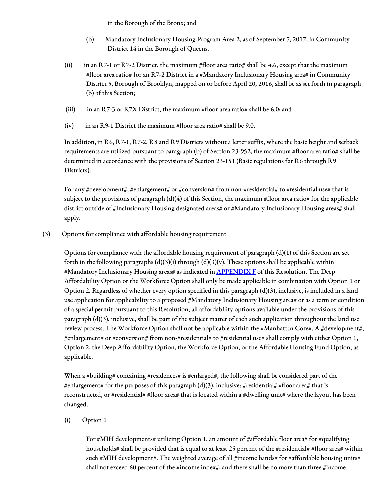in the Borough of the Bronx; and

- (b) Mandatory Inclusionary Housing Program Area 2, as of September 7, 2017, in Community District 14 in the Borough of Queens.
- (ii) in an R7-1 or R7-2 District, the maximum #floor area ratio# shall be 4.6, except that the maximum #floor area ratio# for an R7-2 District in a #Mandatory Inclusionary Housing area# in Community District 5, Borough of Brooklyn, mapped on or before April 20, 2016, shall be as set forth in paragraph (b) of this Section;
- (iii) in an R7-3 or R7X District, the maximum #floor area ratio# shall be 6.0; and
- (iv) in an R9-1 District the maximum #floor area ratio# shall be 9.0.

In addition, in R6, R7-1, R7-2, R8 and R9 Districts without a letter suffix, where the basic height and setback requirements are utilized pursuant to paragraph (b) of Section 23-952, the maximum #floor area ratio# shall be determined in accordance with the provisions of Section 23-151 (Basic regulations for R6 through R9 Districts).

For any #development#, #enlargement# or #conversion# from non-#residential# to #residential use# that is subject to the provisions of paragraph  $(d)(4)$  of this Section, the maximum #floor area ratio# for the applicable district outside of #Inclusionary Housing designated areas# or #Mandatory Inclusionary Housing areas# shall apply.

(3) Options for compliance with affordable housing requirement

Options for compliance with the affordable housing requirement of paragraph (d)(1) of this Section are set forth in the following paragraphs (d)(3)(i) through (d)(3)(v). These options shall be applicable within #Mandatory Inclusionary Housing areas# as indicated in <u>[APPENDIX](http://www1.nyc.gov/assets/planning/download/pdf/zoning/zoning-text/appendixf.pdf) F</u> of this Resolution. The Deep Affordability Option or the Workforce Option shall only be made applicable in combination with Option 1 or Option 2. Regardless of whether every option specified in this paragraph (d)(3), inclusive, is included in a land use application for applicability to a proposed #Mandatory Inclusionary Housing area# or as a term or condition of a special permit pursuant to this Resolution, all affordability options available under the provisions of this paragraph (d)(3), inclusive, shall be part of the subject matter of each such application throughout the land use review process. The Workforce Option shall not be applicable within the #Manhattan Core#. A #development#, #enlargement# or #conversion# from non-#residential# to #residential use# shall comply with either Option 1, Option 2, the Deep Affordability Option, the Workforce Option, or the Affordable Housing Fund Option, as applicable.

When a #building# containing #residences# is #enlarged#, the following shall be considered part of the #enlargement# for the purposes of this paragraph (d)(3), inclusive: #residential# #floor area# that is reconstructed, or #residential# #floor area# that is located within a #dwelling unit# where the layout has been changed.

(i) Option 1

For  $\#$ MIH developments# utilizing Option 1, an amount of  $\#$ affordable floor area# for #qualifying households# shall be provided that is equal to at least 25 percent of the #residential# #floor area# within such #MIH development#. The weighted average of all #income bands# for #affordable housing units# shall not exceed 60 percent of the #income index#, and there shall be no more than three #income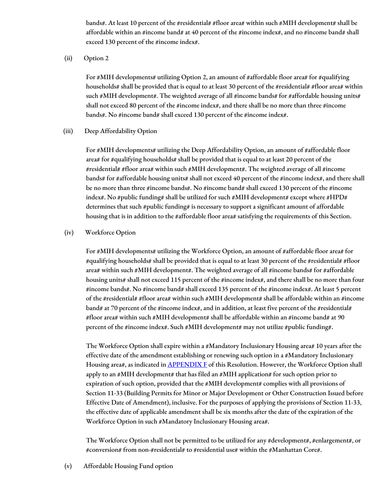bands#. At least 10 percent of the #residential# #floor area# within such #MIH development# shall be affordable within an #income band# at 40 percent of the #income index#, and no #income band# shall exceed 130 percent of the #income index#.

(ii) Option 2

For #MIH developments# utilizing Option 2, an amount of #affordable floor area# for #qualifying households# shall be provided that is equal to at least 30 percent of the #residential# #floor area# within such #MIH development#. The weighted average of all #income bands# for #affordable housing units# shall not exceed 80 percent of the #income index#, and there shall be no more than three #income bands#. No #income band# shall exceed 130 percent of the #income index#.

### (iii) Deep Affordability Option

For #MIH developments# utilizing the Deep Affordability Option, an amount of #affordable floor area# for #qualifying households# shall be provided that is equal to at least 20 percent of the #residential# #floor area# within such #MIH development#. The weighted average of all #income bands# for #affordable housing units# shall not exceed 40 percent of the #income index#, and there shall be no more than three #income bands#. No #income band# shall exceed 130 percent of the #income index#. No #public funding# shall be utilized for such #MIH development# except where #HPD# determines that such #public funding# is necessary to support a significant amount of affordable housing that is in addition to the #affordable floor area# satisfying the requirements of this Section.

### (iv) Workforce Option

For #MIH developments# utilizing the Workforce Option, an amount of #affordable floor area# for #qualifying households# shall be provided that is equal to at least 30 percent of the #residential# #floor area# within such #MIH development#. The weighted average of all #income bands# for #affordable housing units# shall not exceed 115 percent of the #income index#, and there shall be no more than four #income bands#. No #income band# shall exceed 135 percent of the #income index#. At least 5 percent of the #residential# #floor area# within such #MIH development# shall be affordable within an #income band# at 70 percent of the #income index#, and in addition, at least five percent of the #residential# #floor area# within such #MIH development# shall be affordable within an #income band# at 90 percent of the #income index#. Such #MIH development# may not utilize #public funding#.

The Workforce Option shall expire within a #Mandatory Inclusionary Housing area# 10 years after the effective date of the amendment establishing or renewing such option in a #Mandatory Inclusionary Housing area#, as indicated in **[APPENDIX](http://www1.nyc.gov/assets/planning/download/pdf/zoning/zoning-text/appendixf.pdf) F** of this Resolution. However, the Workforce Option shall apply to an  $\#MH$  development# that has filed an  $\#MH$  application# for such option prior to expiration of such option, provided that the  $#MH$  development# complies with all provisions of Section 11-33 (Building Permits for Minor or Major Development or Other Construction Issued before Effective Date of Amendment), inclusive. For the purposes of applying the provisions of Section 11-33, the effective date of applicable amendment shall be six months after the date of the expiration of the Workforce Option in such #Mandatory Inclusionary Housing area#.

The Workforce Option shall not be permitted to be utilized for any  $\#$ development#,  $\#$ enlargement#, or #conversion# from non-#residential# to #residential use# within the #Manhattan Core#.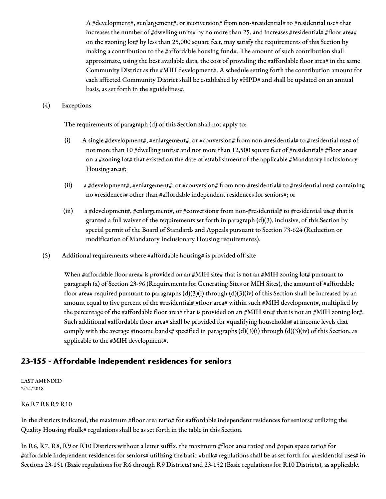A #development#, #enlargement#, or #conversion# from non-#residential# to #residential use# that increases the number of #dwelling units# by no more than 25, and increases #residential# #floor area# on the #zoning lot# by less than 25,000 square feet, may satisfy the requirements of this Section by making a contribution to the #affordable housing fund#. The amount of such contribution shall approximate, using the best available data, the cost of providing the #affordable floor area# in the same Community District as the #MIH development#. A schedule setting forth the contribution amount for each affected Community District shall be established by #HPD# and shall be updated on an annual basis, as set forth in the #guidelines#.

### (4) Exceptions

The requirements of paragraph (d) of this Section shall not apply to:

- (i) A single #development#, #enlargement#, or #conversion# from non-#residential# to #residential use# of not more than 10 #dwelling units# and not more than 12,500 square feet of #residential# #floor area# on a #zoning lot# that existed on the date of establishment of the applicable #Mandatory Inclusionary Housing area#;
- (ii) a #development#, #enlargement#, or #conversion# from non-#residential# to #residential use# containing no #residences# other than #affordable independent residences for seniors#; or
- (iii) a #development#, #enlargement#, or #conversion# from non-#residential# to #residential use# that is granted a full waiver of the requirements set forth in paragraph (d)(3), inclusive, of this Section by special permit of the Board of Standards and Appeals pursuant to Section 73-624 (Reduction or modification of Mandatory Inclusionary Housing requirements).
- (5) Additional requirements where #affordable housing# is provided off-site

When #affordable floor area# is provided on an #MIH site# that is not an #MIH zoning lot# pursuant to paragraph (a) of Section 23-96 (Requirements for Generating Sites or MIH Sites), the amount of #affordable floor area# required pursuant to paragraphs (d)(3)(i) through (d)(3)(iv) of this Section shall be increased by an amount equal to five percent of the #residential# #floor area# within such #MIH development#, multiplied by the percentage of the #affordable floor area# that is provided on an #MIH site# that is not an #MIH zoning lot#. Such additional #affordable floor area# shall be provided for #qualifying households# at income levels that comply with the average #income bands# specified in paragraphs  $(d)(3)(i)$  through  $(d)(3)(iv)$  of this Section, as applicable to the #MIH development#.

# **23-155 - Affordable independent residences for seniors**

#### LAST AMENDED 2/14/2018

#### R6 R7 R8 R9 R10

In the districts indicated, the maximum #floor area ratio# for #affordable independent residences for seniors# utilizing the Quality Housing #bulk# regulations shall be as set forth in the table in this Section.

In R6, R7, R8, R9 or R10 Districts without a letter suffix, the maximum #floor area ratio# and #open space ratio# for #affordable independent residences for seniors# utilizing the basic #bulk# regulations shall be as set forth for #residential uses# in Sections 23-151 (Basic regulations for R6 through R9 Districts) and 23-152 (Basic regulations for R10 Districts), as applicable.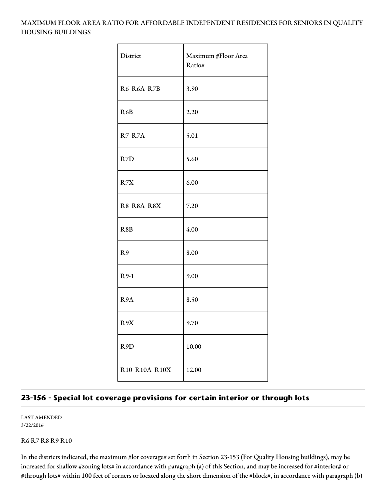# MAXIMUM FLOOR AREA RATIO FOR AFFORDABLE INDEPENDENT RESIDENCES FOR SENIORS IN QUALITY HOUSING BUILDINGS

| District         | Maximum #Floor Area<br>Ratio# |
|------------------|-------------------------------|
| R6 R6A R7B       | 3.90                          |
| R6B              | 2.20                          |
| R7 R7A           | 5.01                          |
| R7D              | 5.60                          |
| R7X              | 6.00                          |
| R8 R8A R8X       | 7.20                          |
| R8B              | 4.00                          |
| R9               | 8.00                          |
| $R9-1$           | 9.00                          |
| R <sub>9</sub> A | 8.50                          |
| R9X              | 9.70                          |
| R9D              | 10.00                         |
| R10 R10A R10X    | 12.00                         |

# **23-156 - Special lot coverage provisions for certain interior or through lots**

LAST AMENDED 3/22/2016

R6 R7 R8 R9 R10

In the districts indicated, the maximum #lot coverage# set forth in Section 23-153 (For Quality Housing buildings), may be increased for shallow #zoning lots# in accordance with paragraph (a) of this Section, and may be increased for #interior# or #through lots# within 100 feet of corners or located along the short dimension of the #block#, in accordance with paragraph (b)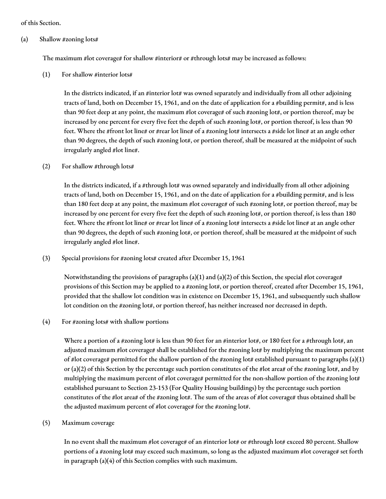#### of this Section.

#### (a) Shallow #zoning lots#

The maximum #lot coverage# for shallow #interior# or #through lots# may be increased as follows:

 $(1)$  For shallow #interior lots#

In the districts indicated, if an #interior lot# was owned separately and individually from all other adjoining tracts of land, both on December 15, 1961, and on the date of application for a #building permit#, and is less than 90 feet deep at any point, the maximum #lot coverage# of such #zoning lot#, or portion thereof, may be increased by one percent for every five feet the depth of such #zoning lot#, or portion thereof, is less than 90 feet. Where the #front lot line# or #rear lot line# of a #zoning lot# intersects a #side lot line# at an angle other than 90 degrees, the depth of such #zoning lot#, or portion thereof, shall be measured at the midpoint of such irregularly angled #lot line#.

### (2) For shallow #through lots#

In the districts indicated, if a #through lot# was owned separately and individually from all other adjoining tracts of land, both on December 15, 1961, and on the date of application for a #building permit#, and is less than 180 feet deep at any point, the maximum #lot coverage# of such #zoning lot#, or portion thereof, may be increased by one percent for every five feet the depth of such #zoning lot#, or portion thereof, is less than 180 feet. Where the #front lot line# or #rear lot line# of a #zoning lot# intersects a #side lot line# at an angle other than 90 degrees, the depth of such #zoning lot#, or portion thereof, shall be measured at the midpoint of such irregularly angled #lot line#.

# (3) Special provisions for #zoning lots# created after December 15, 1961

Notwithstanding the provisions of paragraphs (a)(1) and (a)(2) of this Section, the special #lot coverage# provisions of this Section may be applied to a #zoning lot#, or portion thereof, created after December 15, 1961, provided that the shallow lot condition was in existence on December 15, 1961, and subsequently such shallow lot condition on the #zoning lot#, or portion thereof, has neither increased nor decreased in depth.

(4) For #zoning lots# with shallow portions

Where a portion of a #zoning lot# is less than 90 feet for an #interior lot#, or 180 feet for a #through lot#, an adjusted maximum #lot coverage# shall be established for the #zoning lot# by multiplying the maximum percent of #lot coverage# permitted for the shallow portion of the #zoning lot# established pursuant to paragraphs (a)(1) or (a)(2) of this Section by the percentage such portion constitutes of the #lot area# of the #zoning lot#, and by multiplying the maximum percent of #lot coverage# permitted for the non-shallow portion of the #zoning lot# established pursuant to Section 23-153 (For Quality Housing buildings) by the percentage such portion constitutes of the #lot area# of the #zoning lot#. The sum of the areas of #lot coverage# thus obtained shall be the adjusted maximum percent of #lot coverage# for the #zoning lot#.

# (5) Maximum coverage

In no event shall the maximum #lot coverage# of an #interior lot# or #through lot# exceed 80 percent. Shallow portions of a #zoning lot# may exceed such maximum, so long as the adjusted maximum #lot coverage# set forth in paragraph (a)(4) of this Section complies with such maximum.